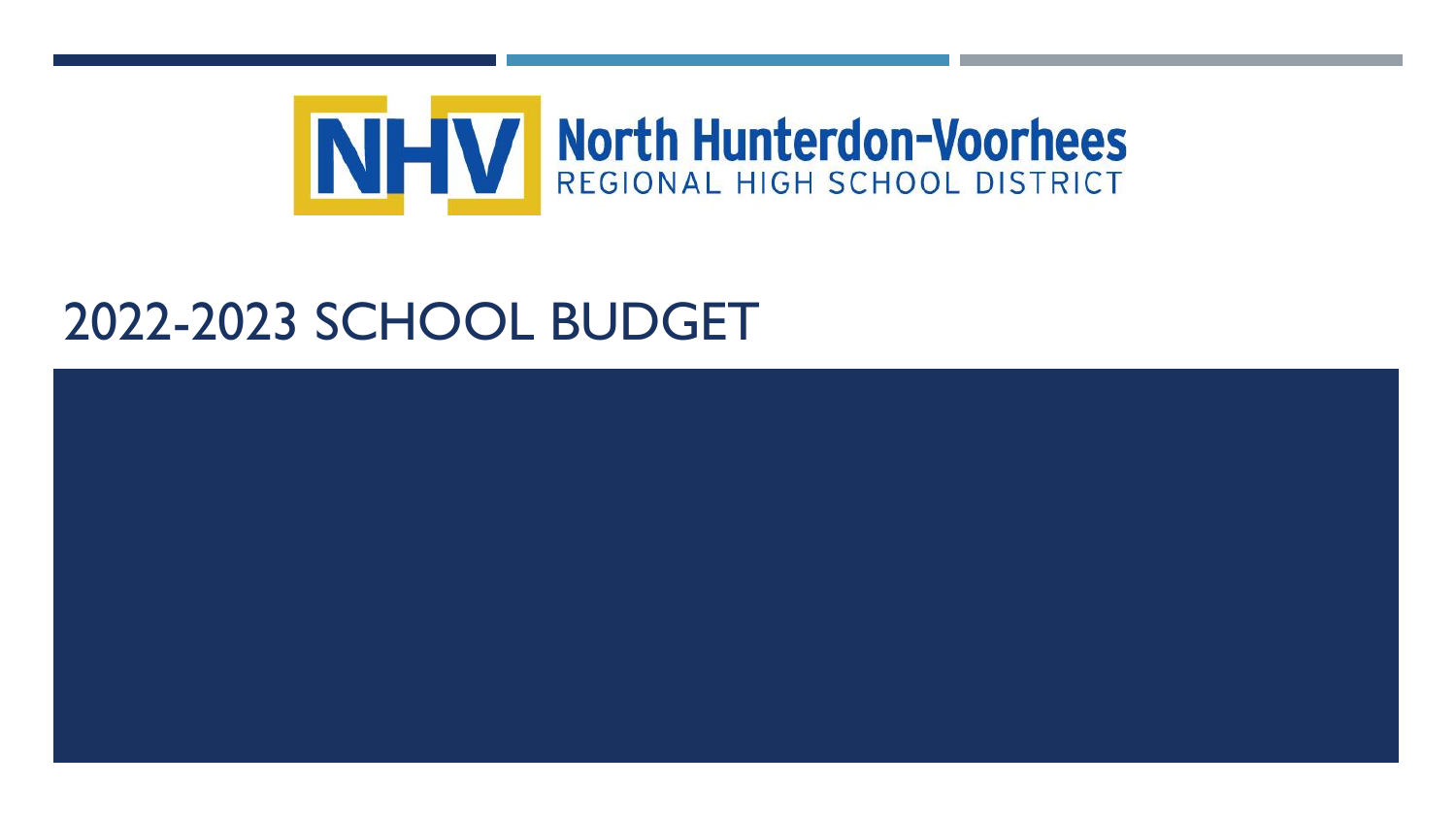

# 2022-2023 SCHOOL BUDGET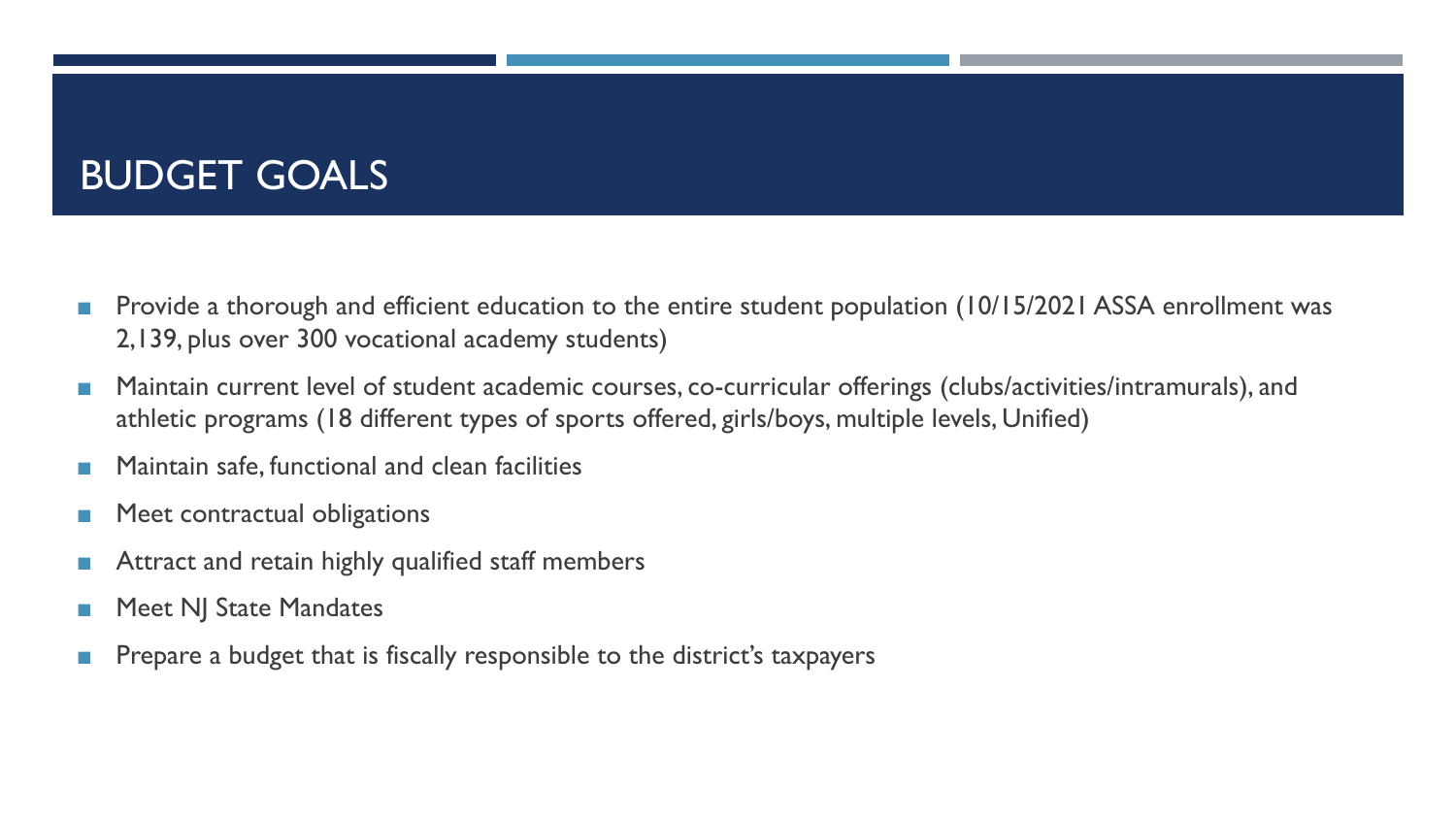# BUDGET GOALS

- ◼ Provide a thorough and efficient education to the entire student population (10/15/2021 ASSA enrollment was 2,139, plus over 300 vocational academy students)
- Maintain current level of student academic courses, co-curricular offerings (clubs/activities/intramurals), and athletic programs (18 different types of sports offered, girls/boys, multiple levels, Unified)
- Maintain safe, functional and clean facilities
- Meet contractual obligations
- Attract and retain highly qualified staff members
- Meet NJ State Mandates
- Prepare a budget that is fiscally responsible to the district's taxpayers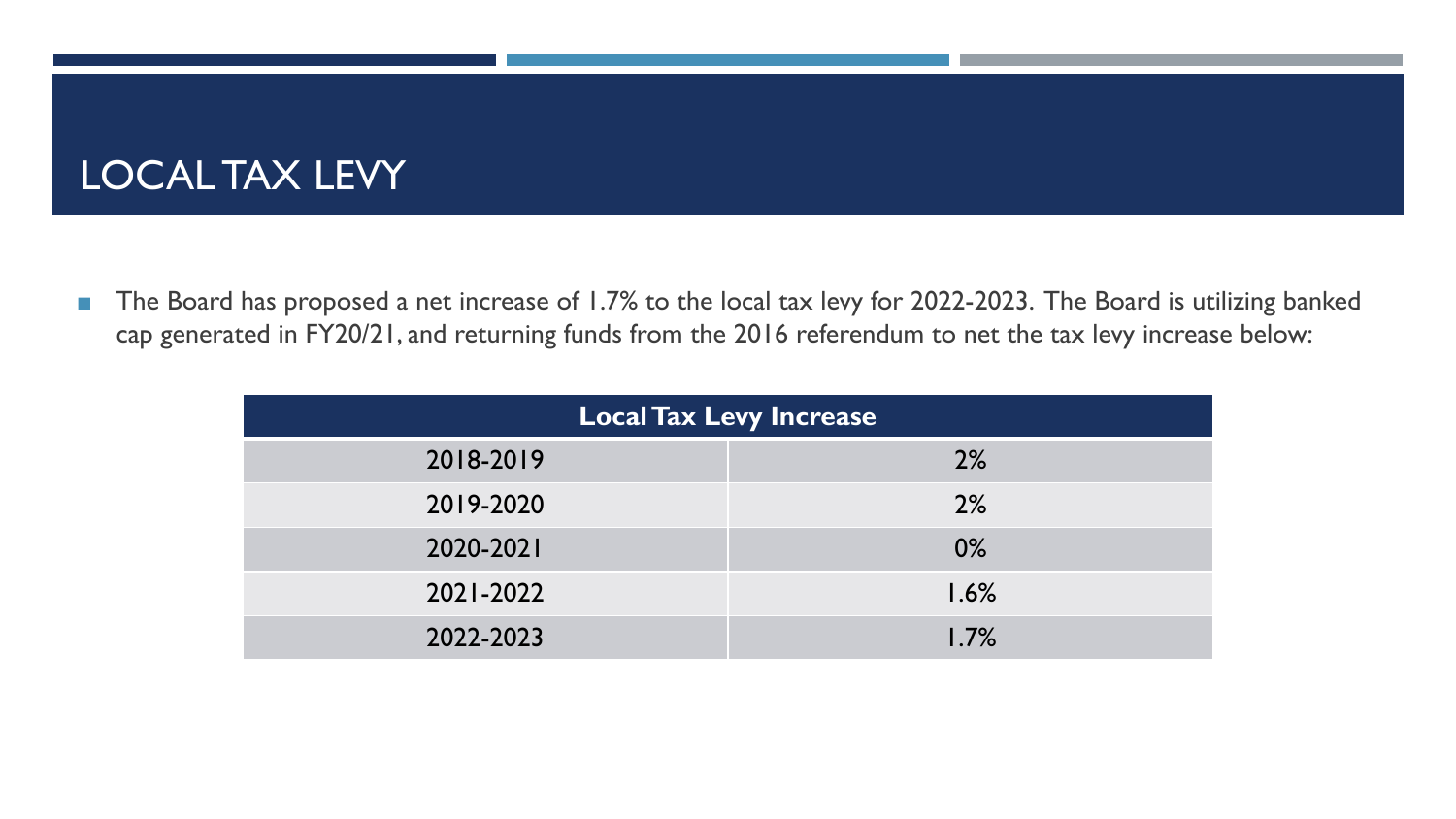# LOCAL TAX LEVY

■ The Board has proposed a net increase of 1.7% to the local tax levy for 2022-2023. The Board is utilizing banked cap generated in FY20/21, and returning funds from the 2016 referendum to net the tax levy increase below:

| <b>Local Tax Levy Increase</b> |       |  |  |  |
|--------------------------------|-------|--|--|--|
| 2018-2019                      | 2%    |  |  |  |
| 2019-2020                      | 2%    |  |  |  |
| 2020-2021                      | $0\%$ |  |  |  |
| 2021-2022                      | 1.6%  |  |  |  |
| 2022-2023                      | 1.7%  |  |  |  |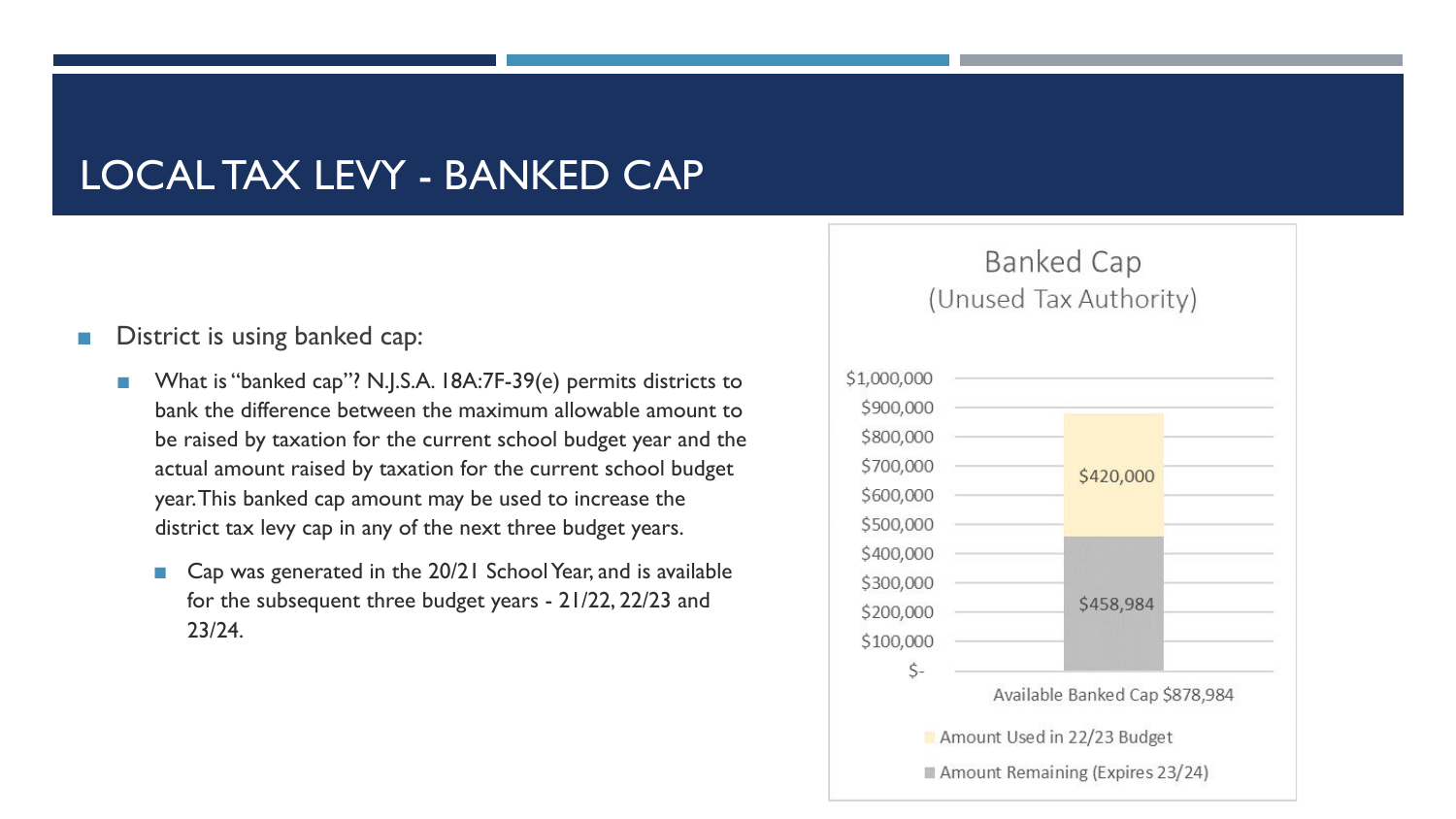### LOCAL TAX LEVY - BANKED CAP

#### District is using banked cap:

- What is "banked cap"? N.J.S.A. 18A:7F-39(e) permits districts to bank the difference between the maximum allowable amount to be raised by taxation for the current school budget year and the actual amount raised by taxation for the current school budget year. This banked cap amount may be used to increase the district tax levy cap in any of the next three budget years.
	- Cap was generated in the 20/21 School Year, and is available for the subsequent three budget years - 21/22, 22/23 and 23/24.

#### **Banked Cap** (Unused Tax Authority)

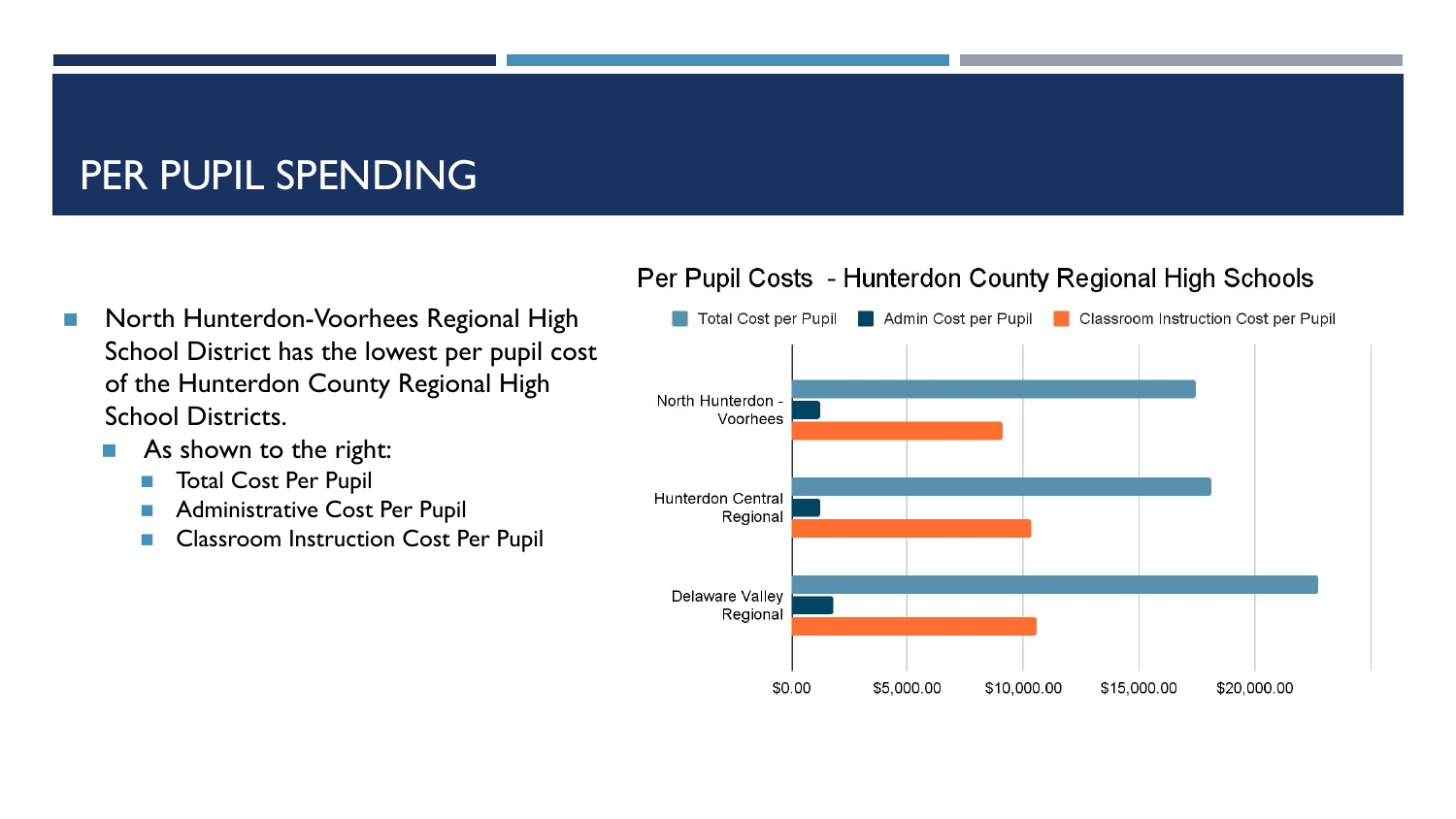# PER PUPIL SPENDING

- North Hunterdon-Voorhees Regional High School District has the lowest per pupil cost of the Hunterdon County Regional High School Districts.
	- As shown to the right:
		- Total Cost Per Pupil
		- Administrative Cost Per Pupil
		- Classroom Instruction Cost Per Pupil

#### Per Pupil Costs - Hunterdon County Regional High Schools

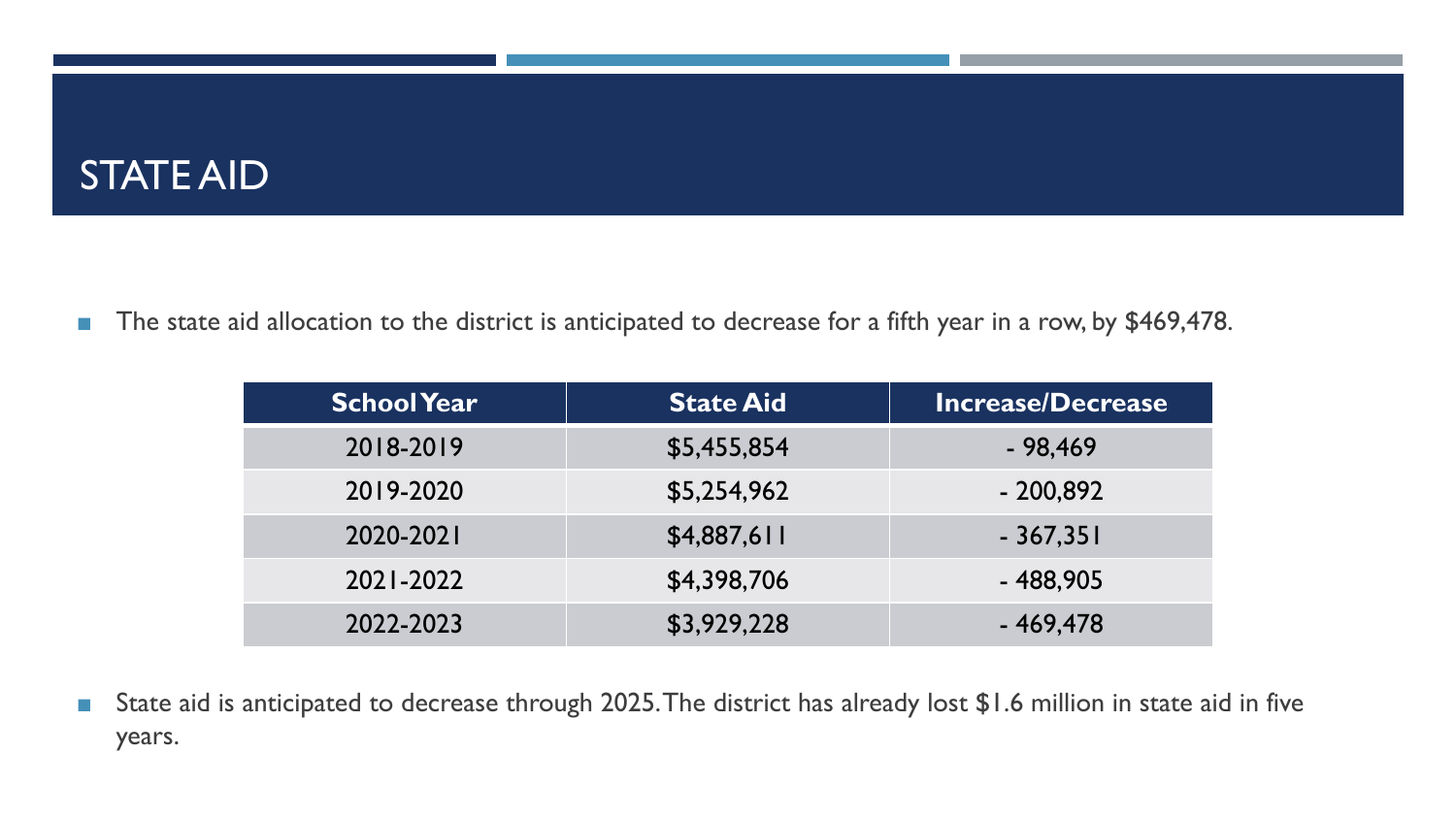### STATE AID

■ The state aid allocation to the district is anticipated to decrease for a fifth year in a row, by \$469,478.

| <b>School Year</b> | <b>State Aid</b> | <b>Increase/Decrease</b> |
|--------------------|------------------|--------------------------|
| 2018-2019          | \$5,455,854      | $-98,469$                |
| 2019-2020          | \$5,254,962      | $-200,892$               |
| 2020-2021          | \$4,887,611      | $-367,351$               |
| 2021-2022          | \$4,398,706      | $-488,905$               |
| 2022-2023          | \$3,929,228      | $-469,478$               |

■ State aid is anticipated to decrease through 2025. The district has already lost \$1.6 million in state aid in five years.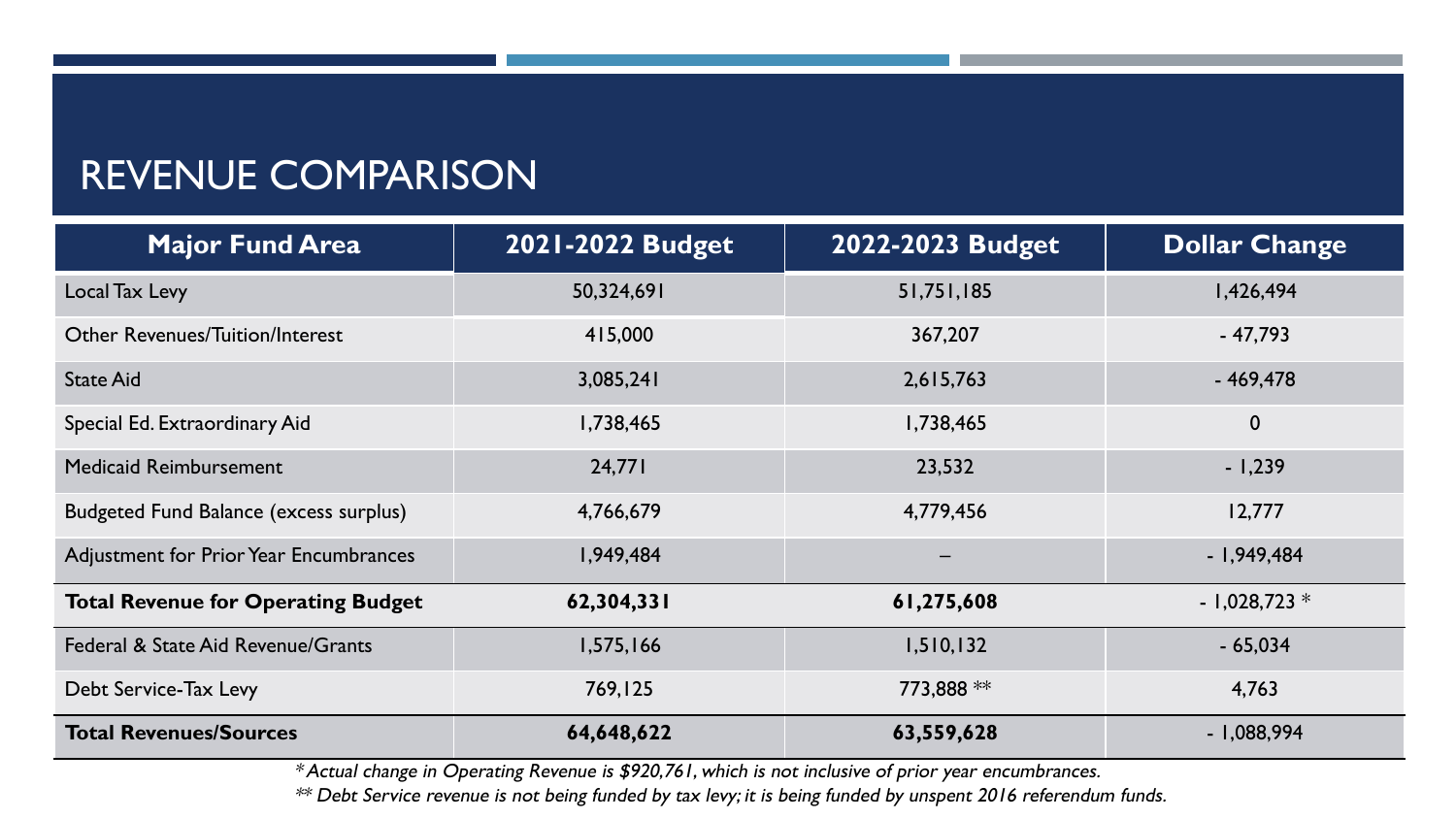### REVENUE COMPARISON

| <b>Major Fund Area</b>                        | 2021-2022 Budget | 2022-2023 Budget | <b>Dollar Change</b> |
|-----------------------------------------------|------------------|------------------|----------------------|
| Local Tax Levy                                | 50,324,691       | 51,751,185       | 1,426,494            |
| <b>Other Revenues/Tuition/Interest</b>        | 415,000          | 367,207          | $-47,793$            |
| <b>State Aid</b>                              | 3,085,241        | 2,615,763        | $-469,478$           |
| Special Ed. Extraordinary Aid                 | 1,738,465        | 1,738,465        | $\boldsymbol{0}$     |
| <b>Medicaid Reimbursement</b>                 | 24,771           | 23,532           | $-1,239$             |
| <b>Budgeted Fund Balance (excess surplus)</b> | 4,766,679        | 4,779,456        | 12,777               |
| Adjustment for Prior Year Encumbrances        | 1,949,484        |                  | $-1,949,484$         |
| <b>Total Revenue for Operating Budget</b>     | 62,304,331       | 61,275,608       | $-1,028,723*$        |
| Federal & State Aid Revenue/Grants            | 1,575,166        | 1,510,132        | $-65,034$            |
| Debt Service-Tax Levy                         | 769,125          | 773,888 **       | 4,763                |
| <b>Total Revenues/Sources</b>                 | 64,648,622       | 63,559,628       | $-1,088,994$         |

\* Actual change in Operating Revenue is \$920,761, which is not inclusive of prior year encumbrances.

\*\* Debt Service revenue is not being funded by tax levy; it is being funded by unspent 2016 referendum funds.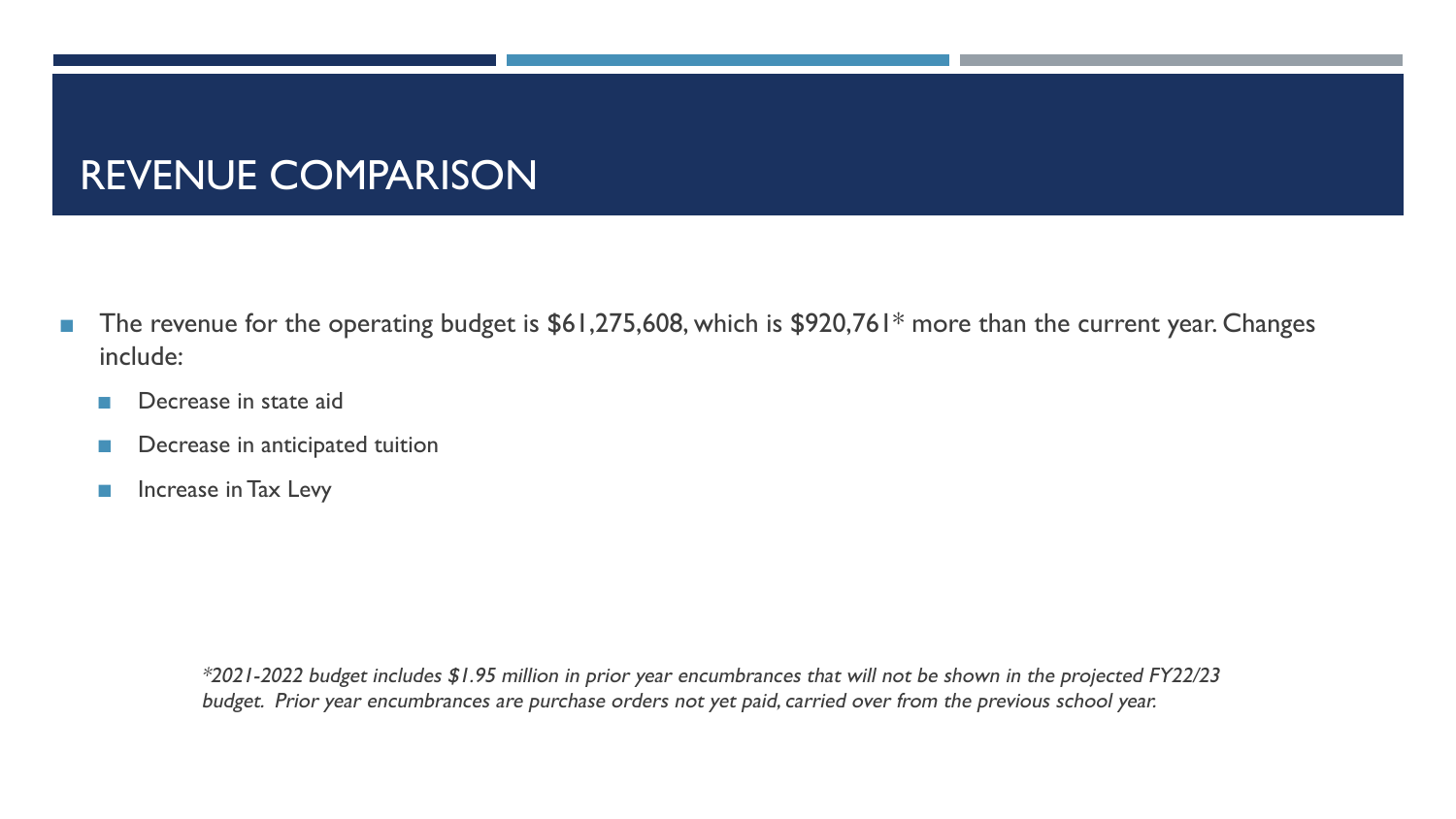# REVENUE COMPARISON

- The revenue for the operating budget is \$61,275,608, which is \$920,761\* more than the current year. Changes include:
	- Decrease in state aid
	- Decrease in anticipated tuition
	- Increase in Tax Levy

\*2021-2022 budget includes \$1.95 million in prior year encumbrances that will not be shown in the projected FY22/23 budget. Prior year encumbrances are purchase orders not yet paid, carried over from the previous school year.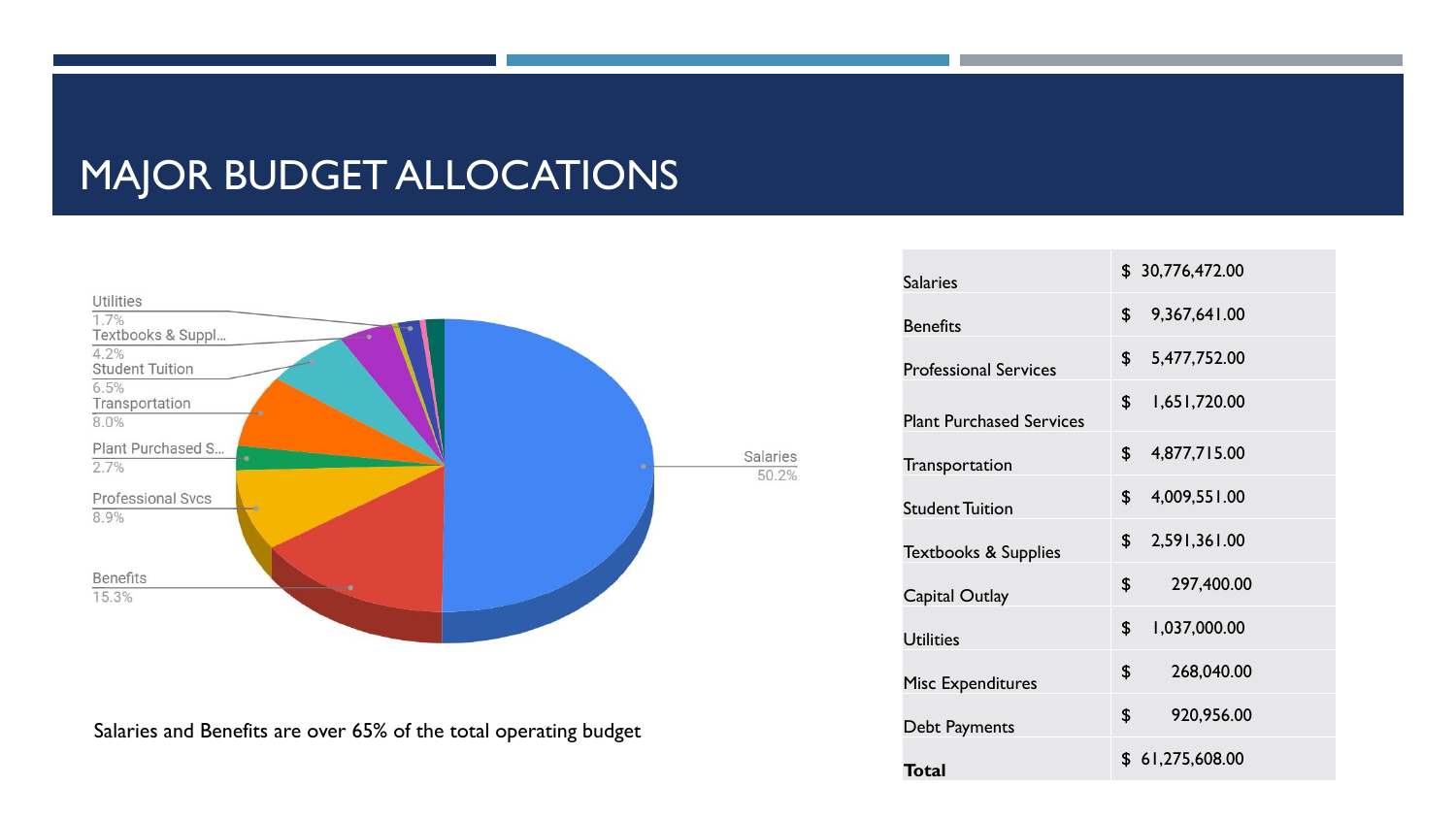## MAJOR BUDGET ALLOCATIONS



Salaries and Benefits are over 65% of the total operating budget

| <b>Salaries</b>                 | \$30,776,472.00              |
|---------------------------------|------------------------------|
| <b>Benefits</b>                 | $\mathsf S$<br>9,367,641.00  |
| <b>Professional Services</b>    | 5,477,752.00<br>$\mathsf{s}$ |
| <b>Plant Purchased Services</b> | 1,651,720.00<br>\$           |
| Transportation                  | $\mathbf{s}$<br>4,877,715.00 |
| <b>Student Tuition</b>          | 4,009,551.00<br>\$           |
| <b>Textbooks &amp; Supplies</b> | 2,591,361.00<br>\$           |
| Capital Outlay                  | \$<br>297,400.00             |
| <b>Utilities</b>                | 1,037,000.00<br>\$           |
| <b>Misc Expenditures</b>        | \$<br>268,040.00             |
| Debt Payments                   | \$<br>920,956.00             |
| Total                           | \$61,275,608.00              |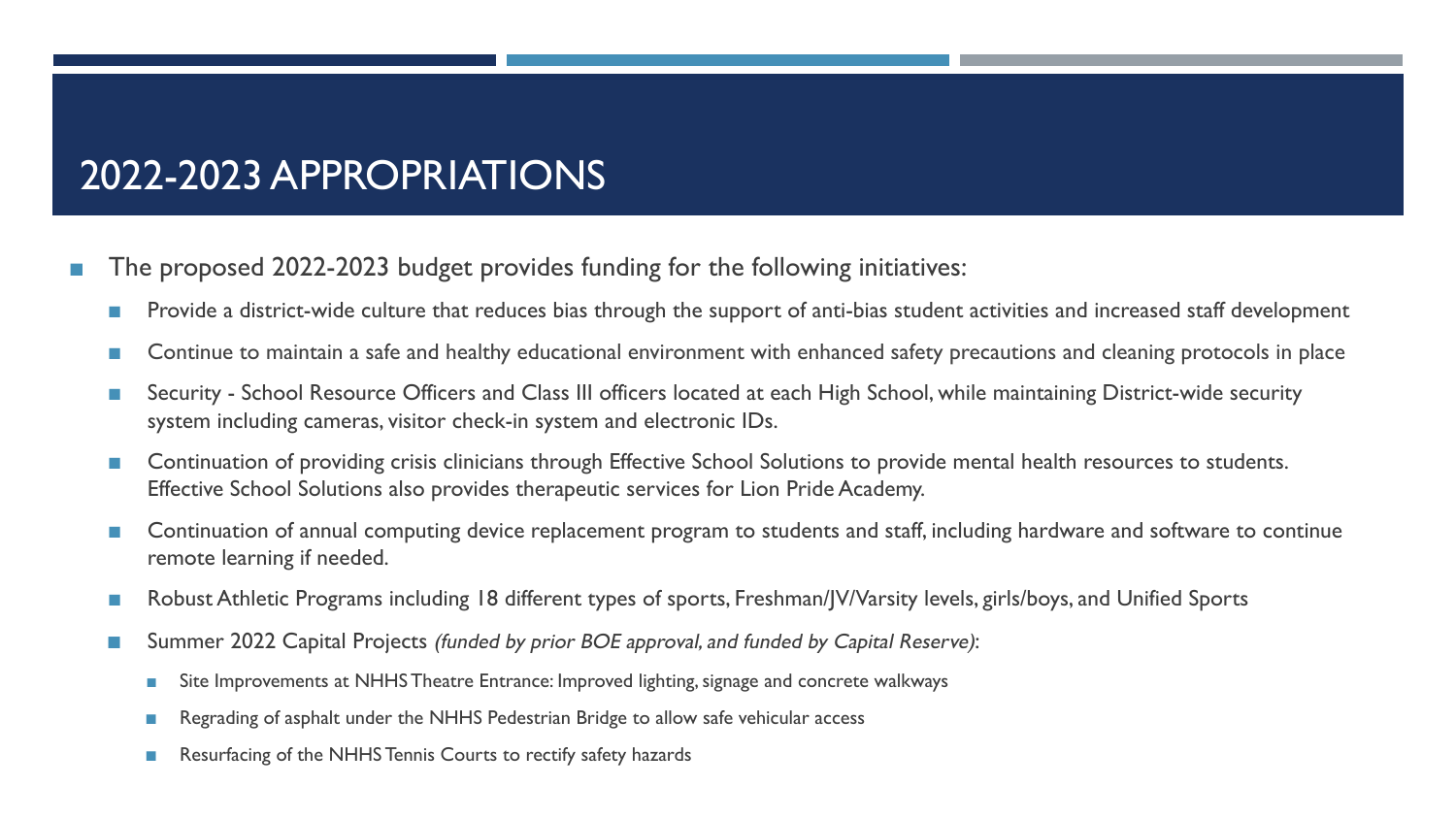# 2022-2023 APPROPRIATIONS

- The proposed 2022-2023 budget provides funding for the following initiatives:
	- Provide a district-wide culture that reduces bias through the support of anti-bias student activities and increased staff development
	- Continue to maintain a safe and healthy educational environment with enhanced safety precautions and cleaning protocols in place
	- Security School Resource Officers and Class III officers located at each High School, while maintaining District-wide security system including cameras, visitor check-in system and electronic IDs.
	- Continuation of providing crisis clinicians through Effective School Solutions to provide mental health resources to students. Effective School Solutions also provides therapeutic services for Lion Pride Academy.
	- Continuation of annual computing device replacement program to students and staff, including hardware and software to continue remote learning if needed.
	- Robust Athletic Programs including 18 different types of sports, Freshman/JV/Varsity levels, girls/boys, and Unified Sports
	- Summer 2022 Capital Projects (funded by prior BOE approval, and funded by Capital Reserve):
		- Site Improvements at NHHS Theatre Entrance: Improved lighting, signage and concrete walkways
		- Regrading of asphalt under the NHHS Pedestrian Bridge to allow safe vehicular access
		- Resurfacing of the NHHS Tennis Courts to rectify safety hazards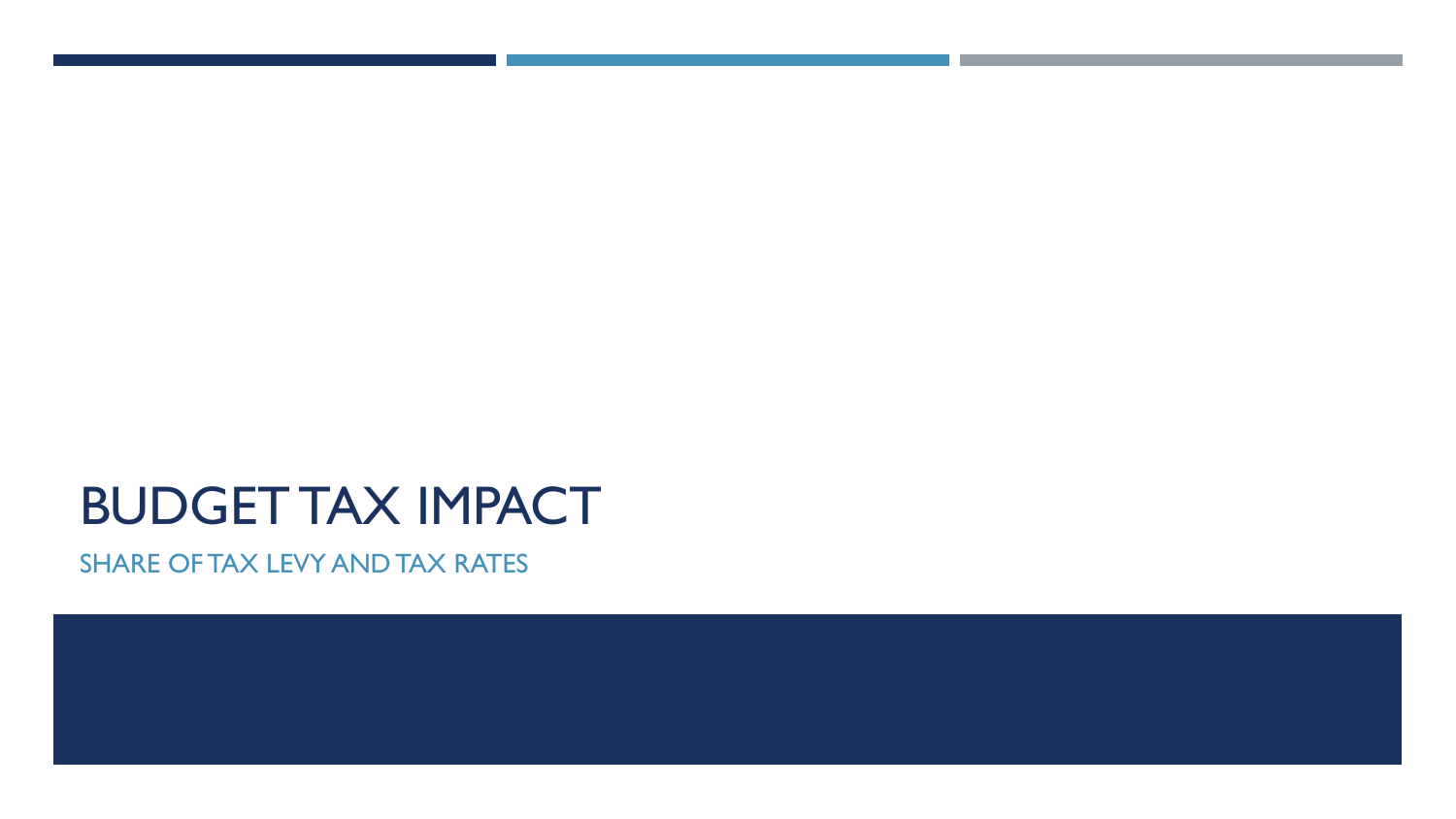# BUDGET TAX IMPACT

SHARE OF TAX LEVY AND TAX RATES

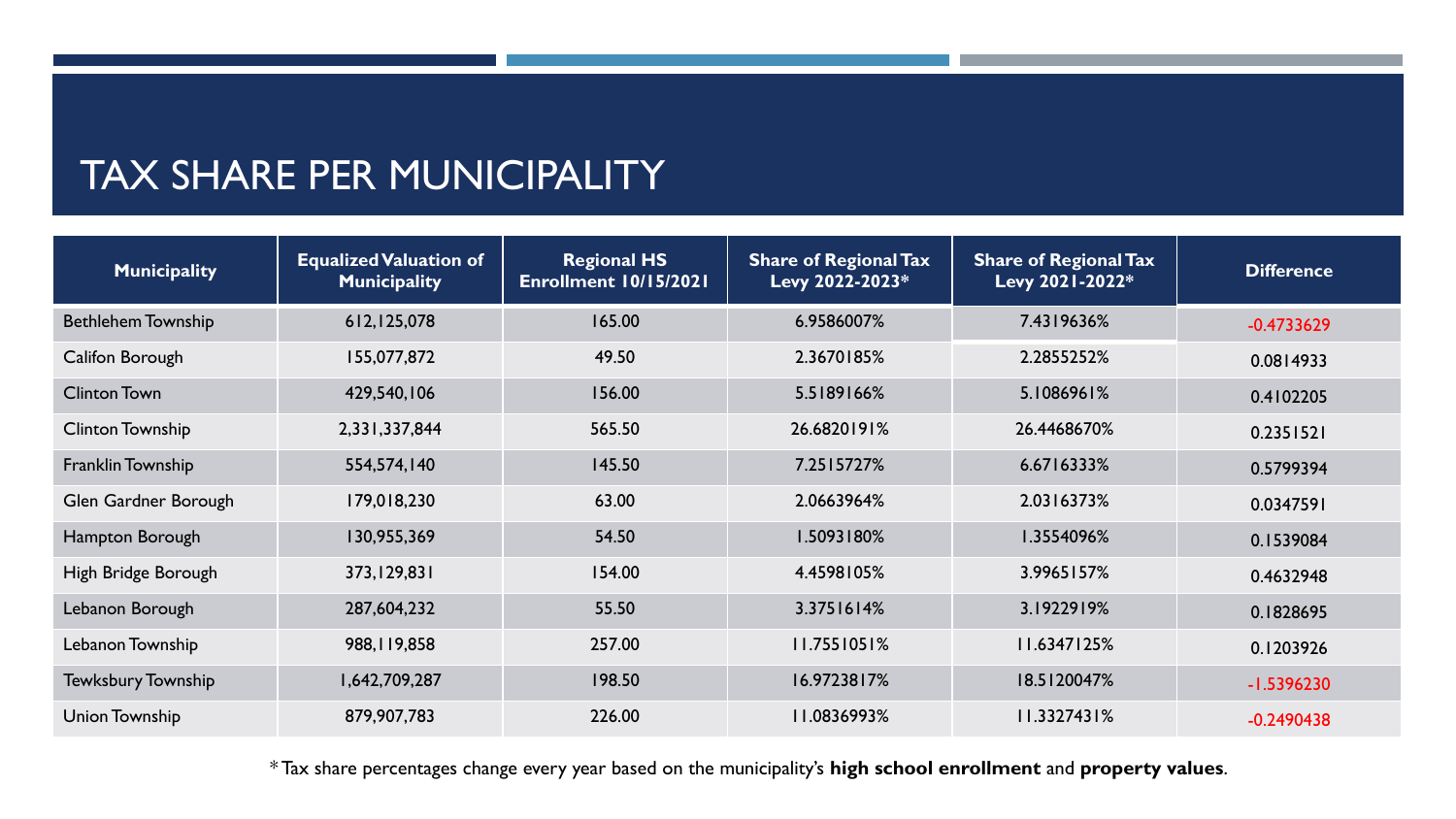#### TAX SHARE PER MUNICIPALITY

| <b>Municipality</b>       | <b>Equalized Valuation of</b><br><b>Municipality</b> | <b>Regional HS</b><br>Enrollment 10/15/2021 | <b>Share of Regional Tax</b><br>Levy 2022-2023* | <b>Share of Regional Tax</b><br>Levy 2021-2022* | <b>Difference</b> |
|---------------------------|------------------------------------------------------|---------------------------------------------|-------------------------------------------------|-------------------------------------------------|-------------------|
| <b>Bethlehem Township</b> | 612, 125, 078                                        | 165.00                                      | 6.9586007%                                      | 7.4319636%                                      | $-0.4733629$      |
| Califon Borough           | 155,077,872                                          | 49.50                                       | 2.3670185%                                      | 2.2855252%                                      | 0.0814933         |
| <b>Clinton Town</b>       | 429,540,106                                          | 156.00                                      | 5.5189166%                                      | 5.1086961%                                      | 0.4102205         |
| <b>Clinton Township</b>   | 2,331,337,844                                        | 565.50                                      | 26.6820191%                                     | 26.4468670%                                     | 0.2351521         |
| Franklin Township         | 554,574,140                                          | 145.50                                      | 7.2515727%                                      | 6.6716333%                                      | 0.5799394         |
| Glen Gardner Borough      | 179,018,230                                          | 63.00                                       | 2.0663964%                                      | 2.0316373%                                      | 0.0347591         |
| Hampton Borough           | 130,955,369                                          | 54.50                                       | 1.5093180%                                      | 1.3554096%                                      | 0.1539084         |
| High Bridge Borough       | 373, 129, 831                                        | 154.00                                      | 4.4598105%                                      | 3.9965157%                                      | 0.4632948         |
| Lebanon Borough           | 287,604,232                                          | 55.50                                       | 3.3751614%                                      | 3.1922919%                                      | 0.1828695         |
| Lebanon Township          | 988, I 19, 858                                       | 257.00                                      | 11.7551051%                                     | 11.6347125%                                     | 0.1203926         |
| <b>Tewksbury Township</b> | 1,642,709,287                                        | 198.50                                      | 16.9723817%                                     | 18.5120047%                                     | $-1.5396230$      |
| Union Township            | 879,907,783                                          | 226.00                                      | 11.0836993%                                     | 11.3327431%                                     | $-0.2490438$      |

\* Tax share percentages change every year based on the municipality's **high school enrollment** and **property values**.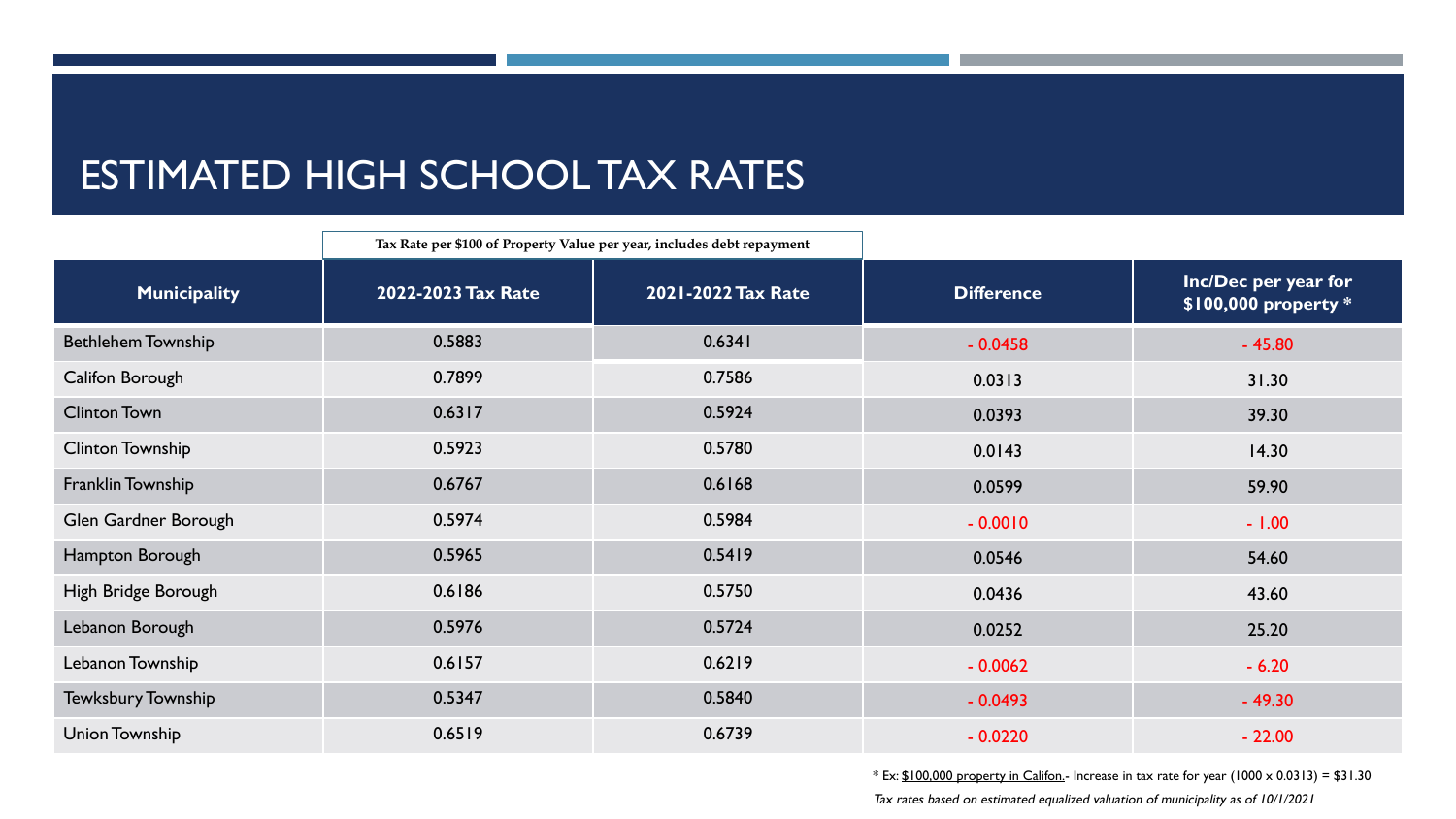# ESTIMATED HIGH SCHOOL TAX RATES

|                           | Tax Rate per \$100 of Property Value per year, includes debt repayment |                    |                   |                                              |
|---------------------------|------------------------------------------------------------------------|--------------------|-------------------|----------------------------------------------|
| <b>Municipality</b>       | 2022-2023 Tax Rate                                                     | 2021-2022 Tax Rate | <b>Difference</b> | Inc/Dec per year for<br>\$100,000 property * |
| <b>Bethlehem Township</b> | 0.5883                                                                 | 0.6341             | $-0.0458$         | $-45.80$                                     |
| Califon Borough           | 0.7899                                                                 | 0.7586             | 0.0313            | 31.30                                        |
| <b>Clinton Town</b>       | 0.6317                                                                 | 0.5924             | 0.0393            | 39.30                                        |
| <b>Clinton Township</b>   | 0.5923                                                                 | 0.5780             | 0.0143            | 14.30                                        |
| Franklin Township         | 0.6767                                                                 | 0.6168             | 0.0599            | 59.90                                        |
| Glen Gardner Borough      | 0.5974                                                                 | 0.5984             | $-0.0010$         | $-1.00$                                      |
| Hampton Borough           | 0.5965                                                                 | 0.5419             | 0.0546            | 54.60                                        |
| High Bridge Borough       | 0.6186                                                                 | 0.5750             | 0.0436            | 43.60                                        |
| Lebanon Borough           | 0.5976                                                                 | 0.5724             | 0.0252            | 25.20                                        |
| Lebanon Township          | 0.6157                                                                 | 0.6219             | $-0.0062$         | $-6.20$                                      |
| Tewksbury Township        | 0.5347                                                                 | 0.5840             | $-0.0493$         | $-49.30$                                     |
| Union Township            | 0.6519                                                                 | 0.6739             | $-0.0220$         | $-22.00$                                     |

 $*$  Ex:  $$100,000$  property in Califon.- Increase in tax rate for year (1000 x 0.0313) = \$31.30

Tax rates based on estimated equalized valuation of municipality as of 10/1/2021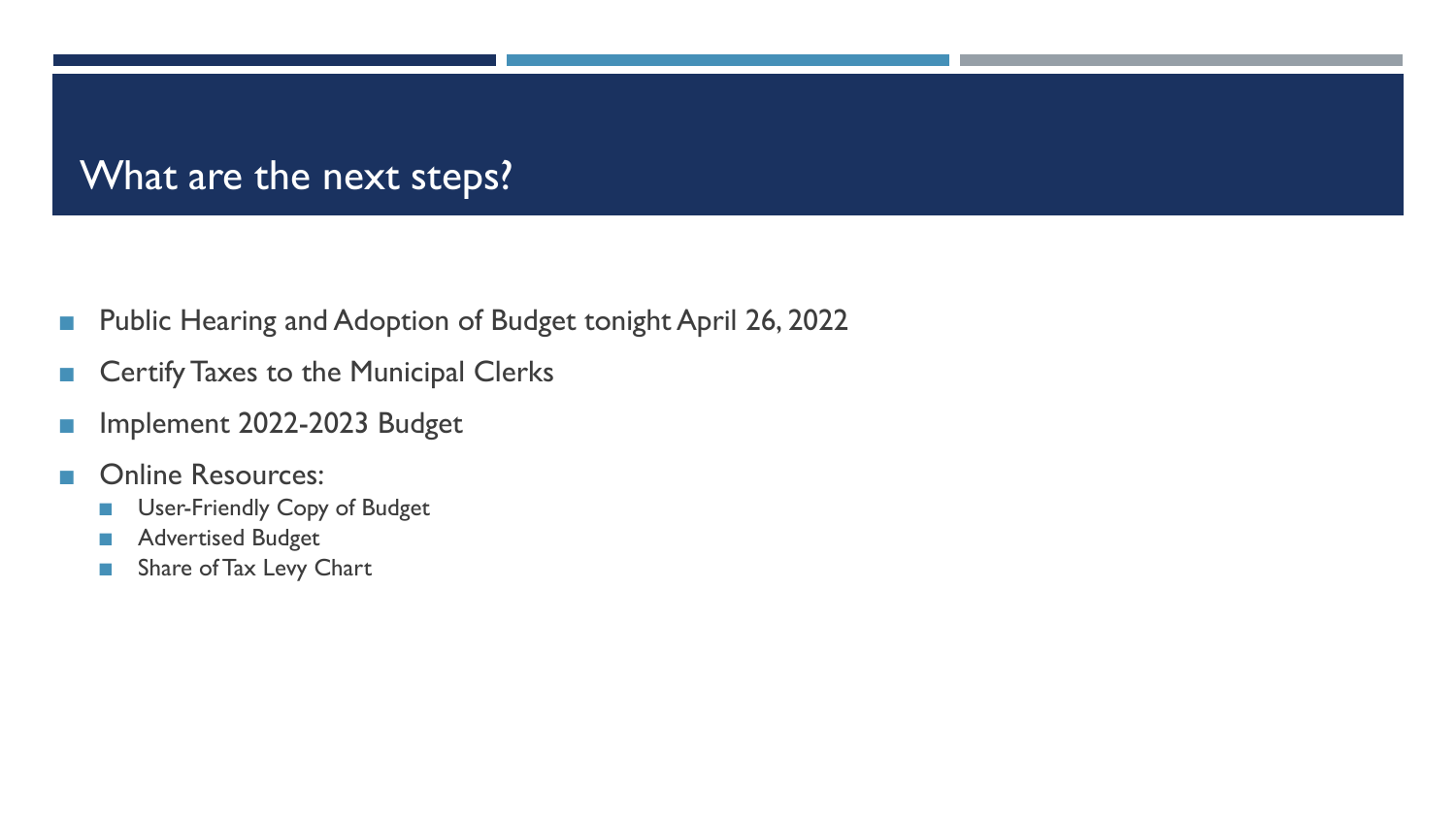#### What are the next steps?

- Public Hearing and Adoption of Budget tonight April 26, 2022
- Certify Taxes to the Municipal Clerks
- Implement 2022-2023 Budget
- Online Resources:
	- User-Friendly Copy of Budget
	- Advertised Budget
	- Share of Tax Levy Chart